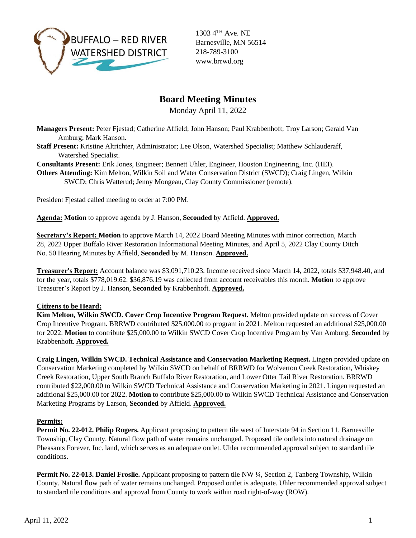

1303 4TH Ave. NE Barnesville, MN 56514 218-789-3100 www.brrwd.org

# **Board Meeting Minutes**

Monday April 11, 2022

**Managers Present:** Peter Fjestad; Catherine Affield; John Hanson; Paul Krabbenhoft; Troy Larson; Gerald Van Amburg; Mark Hanson.

- **Staff Present:** Kristine Altrichter, Administrator; Lee Olson, Watershed Specialist; Matthew Schlauderaff, Watershed Specialist.
- **Consultants Present:** Erik Jones, Engineer; Bennett Uhler, Engineer, Houston Engineering, Inc. (HEI).

**Others Attending:** Kim Melton, Wilkin Soil and Water Conservation District (SWCD); Craig Lingen, Wilkin SWCD; Chris Watterud; Jenny Mongeau, Clay County Commissioner (remote).

President Fjestad called meeting to order at 7:00 PM.

**Agenda: Motion** to approve agenda by J. Hanson, **Seconded** by Affield. **Approved.**

**Secretary's Report: Motion** to approve March 14, 2022 Board Meeting Minutes with minor correction, March 28, 2022 Upper Buffalo River Restoration Informational Meeting Minutes, and April 5, 2022 Clay County Ditch No. 50 Hearing Minutes by Affield, **Seconded** by M. Hanson. **Approved.**

**Treasurer's Report:** Account balance was \$3,091,710.23. Income received since March 14, 2022, totals \$37,948.40, and for the year, totals \$778,019.62. \$36,876.19 was collected from account receivables this month. **Motion** to approve Treasurer's Report by J. Hanson, **Seconded** by Krabbenhoft. **Approved.**

## **Citizens to be Heard:**

**Kim Melton, Wilkin SWCD. Cover Crop Incentive Program Request.** Melton provided update on success of Cover Crop Incentive Program. BRRWD contributed \$25,000.00 to program in 2021. Melton requested an additional \$25,000.00 for 2022. **Motion** to contribute \$25,000.00 to Wilkin SWCD Cover Crop Incentive Program by Van Amburg, **Seconded** by Krabbenhoft. **Approved.** 

**Craig Lingen, Wilkin SWCD. Technical Assistance and Conservation Marketing Request.** Lingen provided update on Conservation Marketing completed by Wilkin SWCD on behalf of BRRWD for Wolverton Creek Restoration, Whiskey Creek Restoration, Upper South Branch Buffalo River Restoration, and Lower Otter Tail River Restoration. BRRWD contributed \$22,000.00 to Wilkin SWCD Technical Assistance and Conservation Marketing in 2021. Lingen requested an additional \$25,000.00 for 2022. **Motion** to contribute \$25,000.00 to Wilkin SWCD Technical Assistance and Conservation Marketing Programs by Larson, **Seconded** by Affield. **Approved.** 

#### **Permits:**

**Permit No. 22-012. Philip Rogers.** Applicant proposing to pattern tile west of Interstate 94 in Section 11, Barnesville Township, Clay County. Natural flow path of water remains unchanged. Proposed tile outlets into natural drainage on Pheasants Forever, Inc. land, which serves as an adequate outlet. Uhler recommended approval subject to standard tile conditions.

**Permit No. 22-013. Daniel Froslie.** Applicant proposing to pattern tile NW ¼, Section 2, Tanberg Township, Wilkin County. Natural flow path of water remains unchanged. Proposed outlet is adequate. Uhler recommended approval subject to standard tile conditions and approval from County to work within road right-of-way (ROW).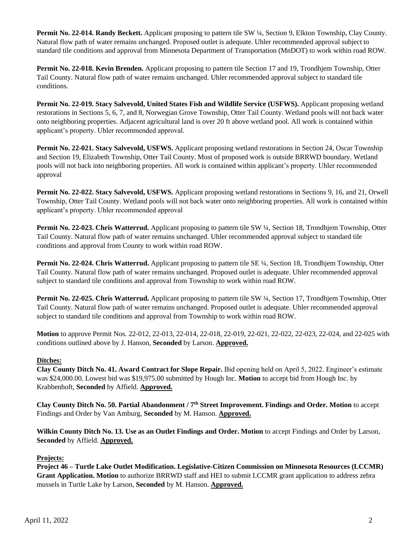**Permit No. 22-014. Randy Beckett.** Applicant proposing to pattern tile SW ¼, Section 9, Elkton Township, Clay County. Natural flow path of water remains unchanged. Proposed outlet is adequate. Uhler recommended approval subject to standard tile conditions and approval from Minnesota Department of Transportation (MnDOT) to work within road ROW.

**Permit No. 22-018. Kevin Brenden.** Applicant proposing to pattern tile Section 17 and 19, Trondhjem Township, Otter Tail County. Natural flow path of water remains unchanged. Uhler recommended approval subject to standard tile conditions.

**Permit No. 22-019. Stacy Salvevold, United States Fish and Wildlife Service (USFWS).** Applicant proposing wetland restorations in Sections 5, 6, 7, and 8, Norwegian Grove Township, Otter Tail County. Wetland pools will not back water onto neighboring properties. Adjacent agricultural land is over 20 ft above wetland pool. All work is contained within applicant's property. Uhler recommended approval.

**Permit No. 22-021. Stacy Salvevold, USFWS.** Applicant proposing wetland restorations in Section 24, Oscar Township and Section 19, Elizabeth Township, Otter Tail County. Most of proposed work is outside BRRWD boundary. Wetland pools will not back into neighboring properties. All work is contained within applicant's property. Uhler recommended approval

**Permit No. 22-022. Stacy Salvevold, USFWS.** Applicant proposing wetland restorations in Sections 9, 16, and 21, Orwell Township, Otter Tail County. Wetland pools will not back water onto neighboring properties. All work is contained within applicant's property. Uhler recommended approval

**Permit No. 22-023. Chris Watterrud.** Applicant proposing to pattern tile SW ¼, Section 18, Trondhjem Township, Otter Tail County. Natural flow path of water remains unchanged. Uhler recommended approval subject to standard tile conditions and approval from County to work within road ROW.

**Permit No. 22-024. Chris Watterrud.** Applicant proposing to pattern tile SE ¼, Section 18, Trondhjem Township, Otter Tail County. Natural flow path of water remains unchanged. Proposed outlet is adequate. Uhler recommended approval subject to standard tile conditions and approval from Township to work within road ROW.

**Permit No. 22-025. Chris Watterrud.** Applicant proposing to pattern tile SW ¼, Section 17, Trondhjem Township, Otter Tail County. Natural flow path of water remains unchanged. Proposed outlet is adequate. Uhler recommended approval subject to standard tile conditions and approval from Township to work within road ROW.

**Motion** to approve Permit Nos. 22-012, 22-013, 22-014, 22-018, 22-019, 22-021, 22-022, 22-023, 22-024, and 22-025 with conditions outlined above by J. Hanson, **Seconded** by Larson. **Approved.** 

## **Ditches:**

**Clay County Ditch No. 41. Award Contract for Slope Repair.** Bid opening held on April 5, 2022. Engineer's estimate was \$24,000.00. Lowest bid was \$19,975.00 submitted by Hough Inc. **Motion** to accept bid from Hough Inc. by Krabbenhoft, **Seconded** by Affield. **Approved.** 

**Clay County Ditch No. 50. Partial Abandonment / 7th Street Improvement. Findings and Order. Motion** to accept Findings and Order by Van Amburg, **Seconded** by M. Hanson. **Approved.** 

**Wilkin County Ditch No. 13. Use as an Outlet Findings and Order. Motion** to accept Findings and Order by Larson, **Seconded** by Affield. **Approved.** 

#### **Projects:**

**Project 46 – Turtle Lake Outlet Modification. Legislative-Citizen Commission on Minnesota Resources (LCCMR) Grant Application. Motion** to authorize BRRWD staff and HEI to submit LCCMR grant application to address zebra mussels in Turtle Lake by Larson, **Seconded** by M. Hanson. **Approved.**